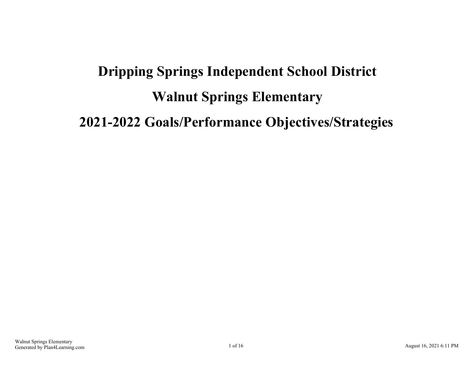# **Dripping Springs Independent School District Walnut Springs Elementary 2021-2022 Goals/Performance Objectives/Strategies**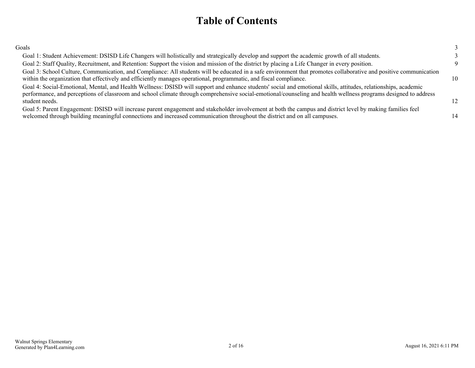### **Table of Contents**

| Goals                                                                                                                                                                                                                                                                                                                                                |                  |
|------------------------------------------------------------------------------------------------------------------------------------------------------------------------------------------------------------------------------------------------------------------------------------------------------------------------------------------------------|------------------|
| Goal 1: Student Achievement: DSISD Life Changers will holistically and strategically develop and support the academic growth of all students.                                                                                                                                                                                                        |                  |
| Goal 2: Staff Quality, Recruitment, and Retention: Support the vision and mission of the district by placing a Life Changer in every position.                                                                                                                                                                                                       |                  |
| Goal 3: School Culture, Communication, and Compliance: All students will be educated in a safe environment that promotes collaborative and positive communication<br>within the organization that effectively and efficiently manages operational, programmatic, and fiscal compliance.                                                              | 10               |
| Goal 4: Social-Emotional, Mental, and Health Wellness: DSISD will support and enhance students' social and emotional skills, attitudes, relationships, academic<br>performance, and perceptions of classroom and school climate through comprehensive social-emotional/counseling and health wellness programs designed to address<br>student needs. | 12 <sup>12</sup> |
| Goal 5: Parent Engagement: DSISD will increase parent engagement and stakeholder involvement at both the campus and district level by making families feel<br>welcomed through building meaningful connections and increased communication throughout the district and on all campuses.                                                              | 14               |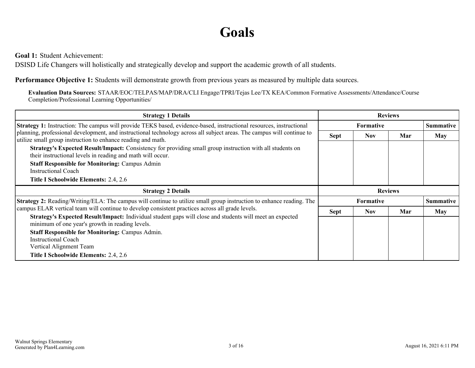## **Goals**

<span id="page-2-0"></span>**Goal 1:** Student Achievement:

DSISD Life Changers will holistically and strategically develop and support the academic growth of all students.

**Performance Objective 1:** Students will demonstrate growth from previous years as measured by multiple data sources.

**Evaluation Data Sources:** STAAR/EOC/TELPAS/MAP/DRA/CLI Engage/TPRI/Tejas Lee/TX KEA/Common Formative Assessments/Attendance/Course Completion/Professional Learning Opportunities/

| <b>Strategy 1 Details</b>                                                                                                                                                              | <b>Reviews</b> |                  |     |                  |
|----------------------------------------------------------------------------------------------------------------------------------------------------------------------------------------|----------------|------------------|-----|------------------|
| <b>Strategy 1:</b> Instruction: The campus will provide TEKS based, evidence-based, instructional resources, instructional                                                             |                | <b>Formative</b> |     | <b>Summative</b> |
| planning, professional development, and instructional technology across all subject areas. The campus will continue to<br>utilize small group instruction to enhance reading and math. | <b>Sept</b>    | <b>Nov</b>       | Mar | May              |
| Strategy's Expected Result/Impact: Consistency for providing small group instruction with all students on<br>their instructional levels in reading and math will occur.                |                |                  |     |                  |
| <b>Staff Responsible for Monitoring: Campus Admin</b><br>Instructional Coach                                                                                                           |                |                  |     |                  |
| Title I Schoolwide Elements: 2.4, 2.6                                                                                                                                                  |                |                  |     |                  |
|                                                                                                                                                                                        |                |                  |     |                  |
| <b>Strategy 2 Details</b>                                                                                                                                                              |                | <b>Reviews</b>   |     |                  |
| <b>Strategy 2:</b> Reading/Writing/ELA: The campus will continue to utilize small group instruction to enhance reading. The                                                            |                | <b>Formative</b> |     | <b>Summative</b> |
| campus ELAR vertical team will continue to develop consistent practices across all grade levels.                                                                                       | <b>Sept</b>    | <b>Nov</b>       | Mar | <b>May</b>       |
| Strategy's Expected Result/Impact: Individual student gaps will close and students will meet an expected<br>minimum of one year's growth in reading levels.                            |                |                  |     |                  |
| <b>Staff Responsible for Monitoring: Campus Admin.</b>                                                                                                                                 |                |                  |     |                  |
| <b>Instructional Coach</b>                                                                                                                                                             |                |                  |     |                  |
| Vertical Alignment Team                                                                                                                                                                |                |                  |     |                  |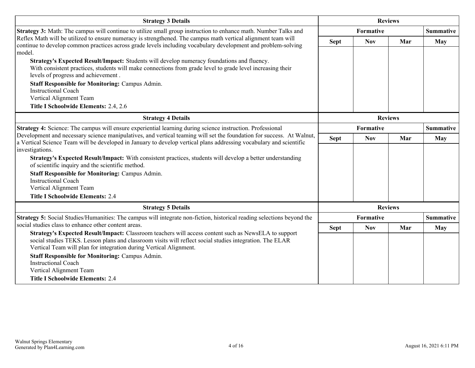| <b>Strategy 3 Details</b>                                                                                                                                                                                                                       | <b>Reviews</b> |            |                |                  |
|-------------------------------------------------------------------------------------------------------------------------------------------------------------------------------------------------------------------------------------------------|----------------|------------|----------------|------------------|
| <b>Strategy 3:</b> Math: The campus will continue to utilize small group instruction to enhance math. Number Talks and                                                                                                                          |                | Formative  |                |                  |
| Reflex Math will be utilized to ensure numeracy is strengthened. The campus math vertical alignment team will<br>continue to develop common practices across grade levels including vocabulary development and problem-solving<br>model.        | <b>Sept</b>    | <b>Nov</b> | Mar            | <b>May</b>       |
| Strategy's Expected Result/Impact: Students will develop numeracy foundations and fluency.<br>With consistent practices, students will make connections from grade level to grade level increasing their<br>levels of progress and achievement. |                |            |                |                  |
| <b>Staff Responsible for Monitoring: Campus Admin.</b><br><b>Instructional Coach</b><br>Vertical Alignment Team                                                                                                                                 |                |            |                |                  |
| Title I Schoolwide Elements: 2.4, 2.6                                                                                                                                                                                                           |                |            |                |                  |
| <b>Strategy 4 Details</b>                                                                                                                                                                                                                       | <b>Reviews</b> |            |                |                  |
| Strategy 4: Science: The campus will ensure experiential learning during science instruction. Professional                                                                                                                                      | Formative      |            |                | <b>Summative</b> |
| Development and necessary science manipulatives, and vertical teaming will set the foundation for success. At Walnut,<br>a Vertical Science Team will be developed in January to develop vertical plans addressing vocabulary and scientific    | <b>Sept</b>    | <b>Nov</b> | Mar            | <b>May</b>       |
| investigations.                                                                                                                                                                                                                                 |                |            |                |                  |
| Strategy's Expected Result/Impact: With consistent practices, students will develop a better understanding<br>of scientific inquiry and the scientific method.                                                                                  |                |            |                |                  |
| <b>Staff Responsible for Monitoring: Campus Admin.</b>                                                                                                                                                                                          |                |            |                |                  |
| <b>Instructional Coach</b>                                                                                                                                                                                                                      |                |            |                |                  |
| Vertical Alignment Team<br><b>Title I Schoolwide Elements: 2.4</b>                                                                                                                                                                              |                |            |                |                  |
|                                                                                                                                                                                                                                                 |                |            |                |                  |
| <b>Strategy 5 Details</b>                                                                                                                                                                                                                       |                |            | <b>Reviews</b> |                  |
| Strategy 5: Social Studies/Humanities: The campus will integrate non-fiction, historical reading selections beyond the<br>social studies class to enhance other content areas.                                                                  |                | Formative  |                | <b>Summative</b> |
| Strategy's Expected Result/Impact: Classroom teachers will access content such as NewsELA to support                                                                                                                                            | <b>Sept</b>    | <b>Nov</b> | Mar            | May              |
| social studies TEKS. Lesson plans and classroom visits will reflect social studies integration. The ELAR<br>Vertical Team will plan for integration during Vertical Alignment.                                                                  |                |            |                |                  |
| <b>Staff Responsible for Monitoring: Campus Admin.</b>                                                                                                                                                                                          |                |            |                |                  |
| <b>Instructional Coach</b><br>Vertical Alignment Team                                                                                                                                                                                           |                |            |                |                  |
| <b>Title I Schoolwide Elements: 2.4</b>                                                                                                                                                                                                         |                |            |                |                  |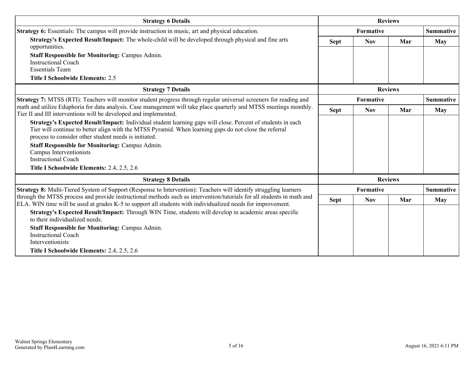| <b>Strategy 6 Details</b>                                                                                                                                                                                                                                                      |             | <b>Reviews</b> |                |                  |
|--------------------------------------------------------------------------------------------------------------------------------------------------------------------------------------------------------------------------------------------------------------------------------|-------------|----------------|----------------|------------------|
| Strategy 6: Essentials: The campus will provide instruction in music, art and physical education.                                                                                                                                                                              |             | Formative      |                |                  |
| Strategy's Expected Result/Impact: The whole-child will be developed through physical and fine arts<br>opportunities.                                                                                                                                                          | <b>Sept</b> | <b>Nov</b>     | Mar            | <b>May</b>       |
| <b>Staff Responsible for Monitoring: Campus Admin.</b><br><b>Instructional Coach</b>                                                                                                                                                                                           |             |                |                |                  |
| <b>Essentials Team</b>                                                                                                                                                                                                                                                         |             |                |                |                  |
| <b>Title I Schoolwide Elements: 2.5</b>                                                                                                                                                                                                                                        |             |                |                |                  |
| <b>Strategy 7 Details</b>                                                                                                                                                                                                                                                      |             |                | <b>Reviews</b> |                  |
| <b>Strategy 7:</b> MTSS (RTI): Teachers will monitor student progress through regular universal screeners for reading and                                                                                                                                                      |             | Formative      |                | <b>Summative</b> |
| math and utilize Eduphoria for data analysis. Case management will take place quarterly and MTSS meetings monthly.<br>Tier II and III interventions will be developed and implemented.                                                                                         | <b>Sept</b> | <b>Nov</b>     | Mar            | <b>May</b>       |
| Strategy's Expected Result/Impact: Individual student learning gaps will close. Percent of students in each<br>Tier will continue to better align with the MTSS Pyramid. When learning gaps do not close the referral<br>process to consider other student needs is initiated. |             |                |                |                  |
| <b>Staff Responsible for Monitoring: Campus Admin.</b><br>Campus Interventionists<br><b>Instructional Coach</b>                                                                                                                                                                |             |                |                |                  |
| Title I Schoolwide Elements: 2.4, 2.5, 2.6                                                                                                                                                                                                                                     |             |                |                |                  |
| <b>Strategy 8 Details</b>                                                                                                                                                                                                                                                      |             |                | <b>Reviews</b> |                  |
| Strategy 8: Multi-Tiered System of Support (Response to Intervention): Teachers will identify struggling learners                                                                                                                                                              |             | Formative      |                | <b>Summative</b> |
| through the MTSS process and provide instructional methods such as intervention/tutorials for all students in math and<br>ELA. WIN time will be used at grades K-5 to support all students with individualized needs for improvement.                                          | <b>Sept</b> | <b>Nov</b>     | Mar            | <b>May</b>       |
| Strategy's Expected Result/Impact: Through WIN Time, students will develop in academic areas specific<br>to their individualized needs                                                                                                                                         |             |                |                |                  |
| <b>Staff Responsible for Monitoring: Campus Admin.</b><br><b>Instructional Coach</b><br>Interventionists                                                                                                                                                                       |             |                |                |                  |
| Title I Schoolwide Elements: 2.4, 2.5, 2.6                                                                                                                                                                                                                                     |             |                |                |                  |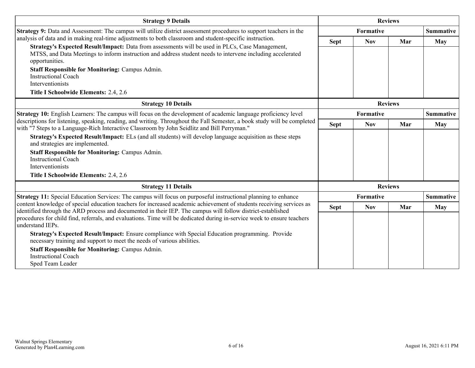| <b>Strategy 9 Details</b>                                                                                                                                                                                                           | <b>Reviews</b> |            |                |                  |
|-------------------------------------------------------------------------------------------------------------------------------------------------------------------------------------------------------------------------------------|----------------|------------|----------------|------------------|
| Strategy 9: Data and Assessment: The campus will utilize district assessment procedures to support teachers in the                                                                                                                  |                | Formative  |                | <b>Summative</b> |
| analysis of data and in making real-time adjustments to both classroom and student-specific instruction.                                                                                                                            | <b>Sept</b>    | <b>Nov</b> | Mar            | <b>May</b>       |
| Strategy's Expected Result/Impact: Data from assessments will be used in PLCs, Case Management,<br>MTSS, and Data Meetings to inform instruction and address student needs to intervene including accelerated<br>opportunities.     |                |            |                |                  |
| <b>Staff Responsible for Monitoring: Campus Admin.</b><br><b>Instructional Coach</b>                                                                                                                                                |                |            |                |                  |
| Interventionists<br>Title I Schoolwide Elements: 2.4, 2.6                                                                                                                                                                           |                |            |                |                  |
|                                                                                                                                                                                                                                     |                |            |                |                  |
| <b>Strategy 10 Details</b>                                                                                                                                                                                                          |                |            | <b>Reviews</b> |                  |
| <b>Strategy 10:</b> English Learners: The campus will focus on the development of academic language proficiency level                                                                                                               | Formative      |            |                | <b>Summative</b> |
| descriptions for listening, speaking, reading, and writing. Throughout the Fall Semester, a book study will be completed<br>with "7 Steps to a Language-Rich Interactive Classroom by John Seidlitz and Bill Perryman."             | <b>Sept</b>    | <b>Nov</b> | Mar            | <b>May</b>       |
| Strategy's Expected Result/Impact: ELs (and all students) will develop language acquisition as these steps<br>and strategies are implemented.                                                                                       |                |            |                |                  |
| <b>Staff Responsible for Monitoring: Campus Admin.</b><br><b>Instructional Coach</b><br>Interventionists                                                                                                                            |                |            |                |                  |
| Title I Schoolwide Elements: 2.4, 2.6                                                                                                                                                                                               |                |            |                |                  |
|                                                                                                                                                                                                                                     |                |            |                |                  |
| <b>Strategy 11 Details</b>                                                                                                                                                                                                          |                |            | <b>Reviews</b> |                  |
| <b>Strategy 11:</b> Special Education Services: The campus will focus on purposeful instructional planning to enhance                                                                                                               |                | Formative  |                | <b>Summative</b> |
| content knowledge of special education teachers for increased academic achievement of students receiving services as<br>identified through the ARD process and documented in their IEP. The campus will follow district-established | <b>Sept</b>    | <b>Nov</b> | Mar            | <b>May</b>       |
| procedures for child find, referrals, and evaluations. Time will be dedicated during in-service week to ensure teachers<br>understand IEPs.                                                                                         |                |            |                |                  |
| Strategy's Expected Result/Impact: Ensure compliance with Special Education programming. Provide<br>necessary training and support to meet the needs of various abilities.                                                          |                |            |                |                  |
| <b>Staff Responsible for Monitoring: Campus Admin.</b><br><b>Instructional Coach</b><br>Sped Team Leader                                                                                                                            |                |            |                |                  |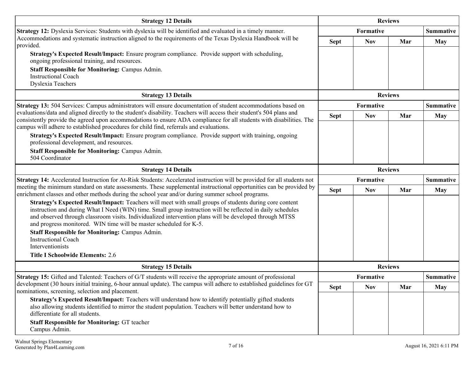| <b>Strategy 12 Details</b>                                                                                                                                                                                                                                                                                                                                                                                                                                                                      | <b>Reviews</b> |                  |                |                  |
|-------------------------------------------------------------------------------------------------------------------------------------------------------------------------------------------------------------------------------------------------------------------------------------------------------------------------------------------------------------------------------------------------------------------------------------------------------------------------------------------------|----------------|------------------|----------------|------------------|
| Strategy 12: Dyslexia Services: Students with dyslexia will be identified and evaluated in a timely manner.                                                                                                                                                                                                                                                                                                                                                                                     |                | <b>Formative</b> |                |                  |
| Accommodations and systematic instruction aligned to the requirements of the Texas Dyslexia Handbook will be<br>provided.                                                                                                                                                                                                                                                                                                                                                                       | <b>Sept</b>    | <b>Nov</b>       | Mar            | <b>May</b>       |
| Strategy's Expected Result/Impact: Ensure program compliance. Provide support with scheduling,<br>ongoing professional training, and resources.                                                                                                                                                                                                                                                                                                                                                 |                |                  |                |                  |
| <b>Staff Responsible for Monitoring: Campus Admin.</b><br><b>Instructional Coach</b><br><b>Dyslexia Teachers</b>                                                                                                                                                                                                                                                                                                                                                                                |                |                  |                |                  |
| <b>Strategy 13 Details</b>                                                                                                                                                                                                                                                                                                                                                                                                                                                                      |                |                  | <b>Reviews</b> |                  |
| Strategy 13: 504 Services: Campus administrators will ensure documentation of student accommodations based on                                                                                                                                                                                                                                                                                                                                                                                   |                | <b>Formative</b> |                | <b>Summative</b> |
| evaluations/data and aligned directly to the student's disability. Teachers will access their student's 504 plans and<br>consistently provide the agreed upon accommodations to ensure ADA compliance for all students with disabilities. The<br>campus will adhere to established procedures for child find, referrals and evaluations.                                                                                                                                                        | <b>Sept</b>    | <b>Nov</b>       | Mar            | <b>May</b>       |
| Strategy's Expected Result/Impact: Ensure program compliance. Provide support with training, ongoing<br>professional development, and resources.                                                                                                                                                                                                                                                                                                                                                |                |                  |                |                  |
| <b>Staff Responsible for Monitoring: Campus Admin.</b><br>504 Coordinator                                                                                                                                                                                                                                                                                                                                                                                                                       |                |                  |                |                  |
| <b>Strategy 14 Details</b>                                                                                                                                                                                                                                                                                                                                                                                                                                                                      |                |                  | <b>Reviews</b> |                  |
| Strategy 14: Accelerated Instruction for At-Risk Students: Accelerated instruction will be provided for all students not                                                                                                                                                                                                                                                                                                                                                                        |                | Formative        |                | <b>Summative</b> |
| meeting the minimum standard on state assessments. These supplemental instructional opportunities can be provided by<br>enrichment classes and other methods during the school year and/or during summer school programs.                                                                                                                                                                                                                                                                       | <b>Sept</b>    | <b>Nov</b>       | Mar            | <b>May</b>       |
| Strategy's Expected Result/Impact: Teachers will meet with small groups of students during core content<br>instruction and during What I Need (WIN) time. Small group instruction will be reflected in daily schedules<br>and observed through classroom visits. Individualized intervention plans will be developed through MTSS<br>and progress monitored. WIN time will be master scheduled for K-5.<br><b>Staff Responsible for Monitoring: Campus Admin.</b><br><b>Instructional Coach</b> |                |                  |                |                  |
| Interventionists<br><b>Title I Schoolwide Elements: 2.6</b>                                                                                                                                                                                                                                                                                                                                                                                                                                     |                |                  |                |                  |
| <b>Strategy 15 Details</b>                                                                                                                                                                                                                                                                                                                                                                                                                                                                      |                |                  | <b>Reviews</b> |                  |
| <b>Strategy 15:</b> Gifted and Talented: Teachers of G/T students will receive the appropriate amount of professional                                                                                                                                                                                                                                                                                                                                                                           |                | Formative        |                | <b>Summative</b> |
| development (30 hours initial training, 6-hour annual update). The campus will adhere to established guidelines for GT<br>nominations, screening, selection and placement.                                                                                                                                                                                                                                                                                                                      | <b>Sept</b>    | <b>Nov</b>       | Mar            | <b>May</b>       |
| Strategy's Expected Result/Impact: Teachers will understand how to identify potentially gifted students<br>also allowing students identified to mirror the student population. Teachers will better understand how to<br>differentiate for all students.                                                                                                                                                                                                                                        |                |                  |                |                  |
| <b>Staff Responsible for Monitoring: GT teacher</b><br>Campus Admin.                                                                                                                                                                                                                                                                                                                                                                                                                            |                |                  |                |                  |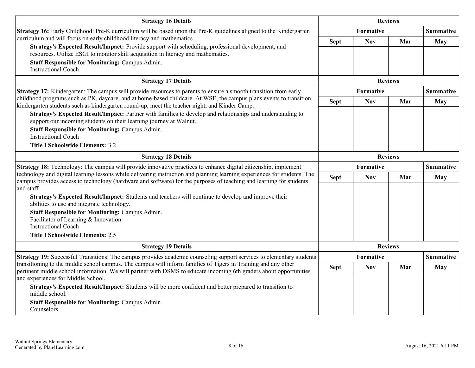| <b>Strategy 16 Details</b>                                                                                                                                                                                                                      | <b>Reviews</b> |                |                |                  |  |
|-------------------------------------------------------------------------------------------------------------------------------------------------------------------------------------------------------------------------------------------------|----------------|----------------|----------------|------------------|--|
| Strategy 16: Early Childhood: Pre-K curriculum will be based upon the Pre-K guidelines aligned to the Kindergarten                                                                                                                              |                | Formative      |                |                  |  |
| curriculum and will focus on early childhood literacy and mathematics.                                                                                                                                                                          | <b>Sept</b>    | <b>Nov</b>     | Mar            | May              |  |
| Strategy's Expected Result/Impact: Provide support with scheduling, professional development, and<br>resources. Utilize ESGI to monitor skill acquisition in literacy and mathematics.                                                          |                |                |                |                  |  |
| <b>Staff Responsible for Monitoring: Campus Admin.</b><br><b>Instructional Coach</b>                                                                                                                                                            |                |                |                |                  |  |
| <b>Strategy 17 Details</b>                                                                                                                                                                                                                      |                |                | <b>Reviews</b> |                  |  |
| Strategy 17: Kindergarten: The campus will provide resources to parents to ensure a smooth transition from early                                                                                                                                |                | Formative      |                | <b>Summative</b> |  |
| childhood programs such as PK, daycare, and at home-based childcare. At WSE, the campus plans events to transition<br>kindergarten students such as kindergarten round-up, meet the teacher night, and Kinder Camp.                             | <b>Sept</b>    | <b>Nov</b>     | Mar            | <b>May</b>       |  |
| Strategy's Expected Result/Impact: Partner with families to develop and relationships and understanding to<br>support our incoming students on their learning journey at Walnut.                                                                |                |                |                |                  |  |
| <b>Staff Responsible for Monitoring: Campus Admin.</b>                                                                                                                                                                                          |                |                |                |                  |  |
| <b>Instructional Coach</b>                                                                                                                                                                                                                      |                |                |                |                  |  |
| <b>Title I Schoolwide Elements: 3.2</b>                                                                                                                                                                                                         |                |                |                |                  |  |
| <b>Strategy 18 Details</b>                                                                                                                                                                                                                      |                | <b>Reviews</b> |                |                  |  |
| Strategy 18: Technology: The campus will provide innovative practices to enhance digital citizenship, implement                                                                                                                                 |                | Formative      |                | <b>Summative</b> |  |
| technology and digital learning lessons while delivering instruction and planning learning experiences for students. The<br>campus provides access to technology (hardware and software) for the purposes of teaching and learning for students | <b>Sept</b>    | <b>Nov</b>     | Mar            | <b>May</b>       |  |
| and staff.<br>Strategy's Expected Result/Impact: Students and teachers will continue to develop and improve their<br>abilities to use and integrate technology.                                                                                 |                |                |                |                  |  |
| <b>Staff Responsible for Monitoring: Campus Admin.</b><br>Facilitator of Learning & Innovation<br><b>Instructional Coach</b>                                                                                                                    |                |                |                |                  |  |
| <b>Title I Schoolwide Elements: 2.5</b>                                                                                                                                                                                                         |                |                |                |                  |  |
| <b>Strategy 19 Details</b>                                                                                                                                                                                                                      |                |                | <b>Reviews</b> |                  |  |
| Strategy 19: Successful Transitions: The campus provides academic counseling support services to elementary students                                                                                                                            |                | Formative      |                | <b>Summative</b> |  |
| transitioning to the middle school campus. The campus will inform families of Tigers in Training and any other<br>pertinent middle school information. We will partner with DSMS to educate incoming 6th graders about opportunities            | <b>Sept</b>    | <b>Nov</b>     | Mar            | <b>May</b>       |  |
| and experiences for Middle School.                                                                                                                                                                                                              |                |                |                |                  |  |
| Strategy's Expected Result/Impact: Students will be more confident and better prepared to transition to<br>middle school.                                                                                                                       |                |                |                |                  |  |
| <b>Staff Responsible for Monitoring: Campus Admin.</b><br>Counselors                                                                                                                                                                            |                |                |                |                  |  |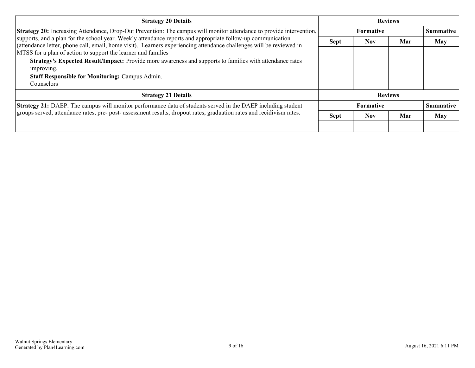| <b>Strategy 20 Details</b>                                                                                                                                                                                                         | <b>Reviews</b>   |                  |     |                  |
|------------------------------------------------------------------------------------------------------------------------------------------------------------------------------------------------------------------------------------|------------------|------------------|-----|------------------|
| <b>Strategy 20:</b> Increasing Attendance, Drop-Out Prevention: The campus will monitor attendance to provide intervention,                                                                                                        |                  | <b>Formative</b> |     | <b>Summative</b> |
| supports, and a plan for the school year. Weekly attendance reports and appropriate follow-up communication<br>(attendance letter, phone call, email, home visit). Learners experiencing attendance challenges will be reviewed in | <b>Sept</b>      | <b>Nov</b>       | Mar | <b>May</b>       |
| MTSS for a plan of action to support the learner and families                                                                                                                                                                      |                  |                  |     |                  |
| Strategy's Expected Result/Impact: Provide more awareness and supports to families with attendance rates<br>improving.                                                                                                             |                  |                  |     |                  |
| <b>Staff Responsible for Monitoring: Campus Admin.</b>                                                                                                                                                                             |                  |                  |     |                  |
| Counselors                                                                                                                                                                                                                         |                  |                  |     |                  |
| <b>Strategy 21 Details</b>                                                                                                                                                                                                         | <b>Reviews</b>   |                  |     |                  |
| Strategy 21: DAEP: The campus will monitor performance data of students served in the DAEP including student                                                                                                                       | <b>Formative</b> |                  |     | <b>Summative</b> |
| groups served, attendance rates, pre- post- assessment results, dropout rates, graduation rates and recidivism rates.                                                                                                              | <b>Sept</b>      | <b>Nov</b>       | Mar | <b>May</b>       |
|                                                                                                                                                                                                                                    |                  |                  |     |                  |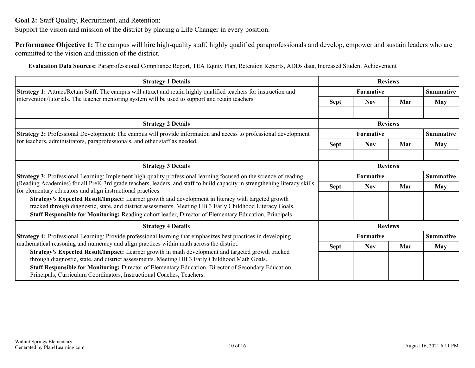<span id="page-9-0"></span>**Goal 2:** Staff Quality, Recruitment, and Retention:

Support the vision and mission of the district by placing a Life Changer in every position.

**Performance Objective 1:** The campus will hire high-quality staff, highly qualified paraprofessionals and develop, empower and sustain leaders who are committed to the vision and mission of the district.

**Evaluation Data Sources:** Paraprofessional Compliance Report, TEA Equity Plan, Retention Reports, ADDs data, Increased Student Achievement

| <b>Strategy 1 Details</b>                                                                                                                                                                                                                                                                                                                                                           | <b>Reviews</b>                |            |                  |                  |
|-------------------------------------------------------------------------------------------------------------------------------------------------------------------------------------------------------------------------------------------------------------------------------------------------------------------------------------------------------------------------------------|-------------------------------|------------|------------------|------------------|
| Strategy 1: Attract/Retain Staff: The campus will attract and retain highly qualified teachers for instruction and                                                                                                                                                                                                                                                                  | Formative                     |            | <b>Summative</b> |                  |
| intervention/tutorials. The teacher mentoring system will be used to support and retain teachers.                                                                                                                                                                                                                                                                                   | <b>Sept</b>                   | <b>Nov</b> | Mar              | May              |
|                                                                                                                                                                                                                                                                                                                                                                                     |                               |            |                  |                  |
| <b>Strategy 2 Details</b>                                                                                                                                                                                                                                                                                                                                                           |                               |            | <b>Reviews</b>   |                  |
| Strategy 2: Professional Development: The campus will provide information and access to professional development                                                                                                                                                                                                                                                                    | Formative                     |            |                  | <b>Summative</b> |
| for teachers, administrators, paraprofessionals, and other staff as needed.                                                                                                                                                                                                                                                                                                         | <b>Sept</b>                   | <b>Nov</b> | Mar              | <b>May</b>       |
|                                                                                                                                                                                                                                                                                                                                                                                     |                               |            |                  |                  |
| <b>Strategy 3 Details</b>                                                                                                                                                                                                                                                                                                                                                           | <b>Reviews</b>                |            |                  |                  |
| Strategy 3: Professional Learning: Implement high-quality professional learning focused on the science of reading                                                                                                                                                                                                                                                                   | Formative<br><b>Summative</b> |            |                  |                  |
| (Reading Academies) for all PreK-3rd grade teachers, leaders, and staff to build capacity in strengthening literacy skills<br>for elementary educators and align instructional practices.                                                                                                                                                                                           | <b>Sept</b>                   | <b>Nov</b> | Mar              | <b>May</b>       |
| Strategy's Expected Result/Impact: Learner growth and development in literacy with targeted growth<br>tracked through diagnostic, state, and district assessments. Meeting HB 3 Early Childhood Literacy Goals.<br>Staff Responsible for Monitoring: Reading cohort leader, Director of Elementary Education, Principals                                                            |                               |            |                  |                  |
| <b>Strategy 4 Details</b>                                                                                                                                                                                                                                                                                                                                                           |                               |            | <b>Reviews</b>   |                  |
| Strategy 4: Professional Learning: Provide professional learning that emphasizes best practices in developing                                                                                                                                                                                                                                                                       |                               | Formative  |                  | <b>Summative</b> |
| mathematical reasoning and numeracy and align practices within math across the district.                                                                                                                                                                                                                                                                                            | <b>Sept</b>                   | <b>Nov</b> | Mar              | May              |
| Strategy's Expected Result/Impact: Learner growth in math development and targeted growth tracked<br>through diagnostic, state, and district assessments. Meeting HB 3 Early Childhood Math Goals.<br>Staff Responsible for Monitoring: Director of Elementary Education, Director of Secondary Education,<br>Principals, Curriculum Coordinators, Instructional Coaches, Teachers. |                               |            |                  |                  |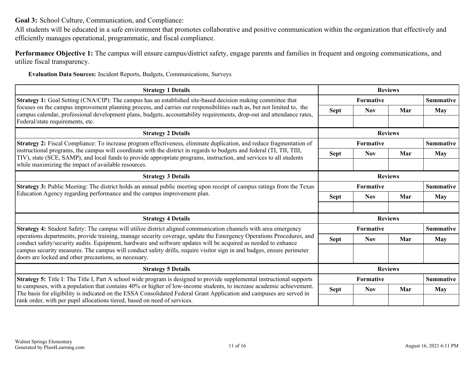<span id="page-10-0"></span>**Goal 3:** School Culture, Communication, and Compliance:

All students will be educated in a safe environment that promotes collaborative and positive communication within the organization that effectively and efficiently manages operational, programmatic, and fiscal compliance.

**Performance Objective 1:** The campus will ensure campus/district safety, engage parents and families in frequent and ongoing communications, and utilize fiscal transparency.

**Evaluation Data Sources:** Incident Reports, Budgets, Communications, Surveys

| <b>Strategy 1 Details</b>                                                                                                                                                                                                                      | <b>Reviews</b> |                  |                |                  |
|------------------------------------------------------------------------------------------------------------------------------------------------------------------------------------------------------------------------------------------------|----------------|------------------|----------------|------------------|
| <b>Strategy 1:</b> Goal Setting (CNA/CIP): The campus has an established site-based decision making committee that                                                                                                                             |                | <b>Formative</b> |                |                  |
| focuses on the campus improvement planning process, and carries out responsibilities such as, but not limited to, the<br>campus calendar, professional development plans, budgets, accountability requirements, drop-out and attendance rates, | <b>Sept</b>    | <b>Nov</b>       | Mar            | May              |
| Federal/state requirements, etc.                                                                                                                                                                                                               |                |                  |                |                  |
| <b>Strategy 2 Details</b>                                                                                                                                                                                                                      | <b>Reviews</b> |                  |                |                  |
| Strategy 2: Fiscal Compliance: To increase program effectiveness, eliminate duplication, and reduce fragmentation of                                                                                                                           |                | <b>Formative</b> |                | <b>Summative</b> |
| instructional programs, the campus will coordinate with the district in regards to budgets and federal (TI, TII, TIII,<br>TIV), state (SCE, SAMP), and local funds to provide appropriate programs, instruction, and services to all students  | <b>Sept</b>    | <b>Nov</b>       | Mar            | <b>May</b>       |
| while maximizing the impact of available resources.                                                                                                                                                                                            |                |                  |                |                  |
| <b>Strategy 3 Details</b>                                                                                                                                                                                                                      | <b>Reviews</b> |                  |                |                  |
| <b>Strategy 3:</b> Public Meeting: The district holds an annual public meeting upon receipt of campus ratings from the Texas                                                                                                                   |                | Formative        |                |                  |
| Education Agency regarding performance and the campus improvement plan.                                                                                                                                                                        | <b>Sept</b>    | <b>Nov</b>       | Mar            | May              |
|                                                                                                                                                                                                                                                |                |                  |                |                  |
| <b>Strategy 4 Details</b>                                                                                                                                                                                                                      |                |                  | <b>Reviews</b> |                  |
| <b>Strategy 4:</b> Student Safety: The campus will utilize district aligned communication channels with area emergency                                                                                                                         |                | <b>Formative</b> |                | <b>Summative</b> |
| operations departments, provide training, manage security coverage, update the Emergency Operations Procedures, and<br>conduct safety/security audits. Equipment, hardware and software updates will be acquired as needed to enhance          | <b>Sept</b>    | <b>Nov</b>       | Mar            | <b>May</b>       |
| campus security measures. The campus will conduct safety drills, require visitor sign in and badges, ensure perimeter<br>doors are locked and other precautions, as necessary.                                                                 |                |                  |                |                  |
| <b>Strategy 5 Details</b>                                                                                                                                                                                                                      |                |                  | <b>Reviews</b> |                  |
| <b>Strategy 5:</b> Title I: The Title I, Part A school wide program is designed to provide supplemental instructional supports                                                                                                                 |                | <b>Formative</b> |                | <b>Summative</b> |
| to campuses, with a population that contains 40% or higher of low-income students, to increase academic achievement.<br>The basis for eligibility is indicated on the ESSA Consolidated Federal Grant Application and campuses are served in   | <b>Sept</b>    | <b>Nov</b>       | Mar            | May              |
| rank order, with per pupil allocations tiered, based on need of services.                                                                                                                                                                      |                |                  |                |                  |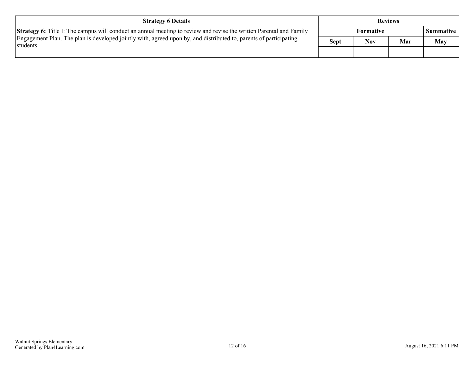| <b>Strategy 6 Details</b>                                                                                                       | <b>Reviews</b> |            |     |                    |
|---------------------------------------------------------------------------------------------------------------------------------|----------------|------------|-----|--------------------|
| <b>Strategy 6:</b> Title I: The campus will conduct an annual meeting to review and revise the written Parental and Family      | Formative      |            |     | <b>Summative</b> 1 |
| Engagement Plan. The plan is developed jointly with, agreed upon by, and distributed to, parents of participating<br>'students. | <b>Sept</b>    | <b>Nov</b> | Mar | May                |
|                                                                                                                                 |                |            |     |                    |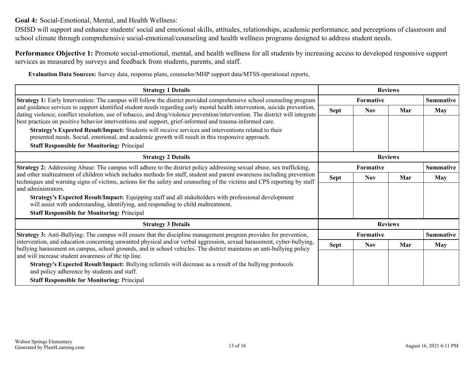<span id="page-12-0"></span>**Goal 4:** Social-Emotional, Mental, and Health Wellness:

DSISD will support and enhance students' social and emotional skills, attitudes, relationships, academic performance, and perceptions of classroom and school climate through comprehensive social-emotional/counseling and health wellness programs designed to address student needs.

**Performance Objective 1:** Promote social-emotional, mental, and health wellness for all students by increasing access to developed responsive support services as measured by surveys and feedback from students, parents, and staff.

**Evaluation Data Sources:** Survey data, response plans, counselor/MHP support data/MTSS operational reports,

| <b>Strategy 1 Details</b>                                                                                                                                                                                                                          | <b>Reviews</b> |            |                |                  |  |
|----------------------------------------------------------------------------------------------------------------------------------------------------------------------------------------------------------------------------------------------------|----------------|------------|----------------|------------------|--|
| Strategy 1: Early Intervention: The campus will follow the district provided comprehensive school counseling program                                                                                                                               |                | Formative  |                | <b>Summative</b> |  |
| and guidance services to support identified student needs regarding early mental health intervention, suicide prevention,                                                                                                                          | <b>Sept</b>    | <b>Nov</b> | Mar            | <b>May</b>       |  |
| dating violence, conflict resolution, use of tobacco, and drug/violence prevention/intervention. The district will integrate<br>best practices on positive behavior interventions and support, grief-informed and trauma-informed care.            |                |            |                |                  |  |
| Strategy's Expected Result/Impact: Students will receive services and interventions related to their                                                                                                                                               |                |            |                |                  |  |
| presented needs. Social, emotional, and academic growth will result in this responsive approach.                                                                                                                                                   |                |            |                |                  |  |
| <b>Staff Responsible for Monitoring: Principal</b>                                                                                                                                                                                                 |                |            |                |                  |  |
| <b>Strategy 2 Details</b>                                                                                                                                                                                                                          | <b>Reviews</b> |            |                |                  |  |
| Strategy 2: Addressing Abuse: The campus will adhere to the district policy addressing sexual abuse, sex trafficking,                                                                                                                              |                | Formative  |                |                  |  |
| and other maltreatment of children which includes methods for staff, student and parent awareness including prevention<br>techniques and warning signs of victims, actions for the safety and counseling of the victims and CPS reporting by staff | <b>Sept</b>    | <b>Nov</b> | Mar            | <b>May</b>       |  |
| and administrators.                                                                                                                                                                                                                                |                |            |                |                  |  |
| Strategy's Expected Result/Impact: Equipping staff and all stakeholders with professional development<br>will assist with understanding, identifying, and responding to child maltreatment.                                                        |                |            |                |                  |  |
| <b>Staff Responsible for Monitoring: Principal</b>                                                                                                                                                                                                 |                |            |                |                  |  |
| <b>Strategy 3 Details</b>                                                                                                                                                                                                                          |                |            | <b>Reviews</b> |                  |  |
| <b>Strategy 3:</b> Anti-Bullying: The campus will ensure that the discipline management program provides for prevention,                                                                                                                           |                | Formative  |                | <b>Summative</b> |  |
| intervention, and education concerning unwanted physical and/or verbal aggression, sexual harassment, cyber-bullying,                                                                                                                              | <b>Sept</b>    | <b>Nov</b> | Mar            | <b>May</b>       |  |
| bullying harassment on campus, school grounds, and in school vehicles. The district maintains an anti-bullying policy<br>and will increase student awareness of the tip line.                                                                      |                |            |                |                  |  |
| Strategy's Expected Result/Impact: Bullying referrals will decrease as a result of the bullying protocols<br>and policy adherence by students and staff.                                                                                           |                |            |                |                  |  |
| <b>Staff Responsible for Monitoring: Principal</b>                                                                                                                                                                                                 |                |            |                |                  |  |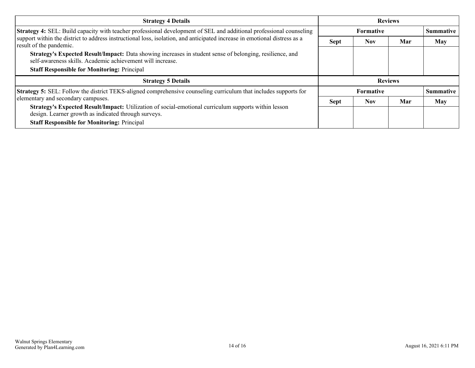| <b>Strategy 4 Details</b>                                                                                                                                                                                                                                                   | <b>Reviews</b>   |            |     |                  |
|-----------------------------------------------------------------------------------------------------------------------------------------------------------------------------------------------------------------------------------------------------------------------------|------------------|------------|-----|------------------|
| Strategy 4: SEL: Build capacity with teacher professional development of SEL and additional professional counseling<br>support within the district to address instructional loss, isolation, and anticipated increase in emotional distress as a<br>result of the pandemic. | <b>Formative</b> |            |     | Summative        |
|                                                                                                                                                                                                                                                                             | <b>Sept</b>      | <b>Nov</b> | Mar | <b>May</b>       |
| Strategy's Expected Result/Impact: Data showing increases in student sense of belonging, resilience, and<br>self-awareness skills. Academic achievement will increase.                                                                                                      |                  |            |     |                  |
| <b>Staff Responsible for Monitoring: Principal</b>                                                                                                                                                                                                                          |                  |            |     |                  |
| <b>Strategy 5 Details</b>                                                                                                                                                                                                                                                   | <b>Reviews</b>   |            |     |                  |
| <b>Strategy 5:</b> SEL: Follow the district TEKS-aligned comprehensive counseling curriculum that includes supports for                                                                                                                                                     | <b>Formative</b> |            |     | <b>Summative</b> |
| elementary and secondary campuses.                                                                                                                                                                                                                                          | <b>Sept</b>      | <b>Nov</b> | Mar | <b>May</b>       |
| Strategy's Expected Result/Impact: Utilization of social-emotional curriculum supports within lesson<br>design. Learner growth as indicated through surveys.                                                                                                                |                  |            |     |                  |
| <b>Staff Responsible for Monitoring: Principal</b>                                                                                                                                                                                                                          |                  |            |     |                  |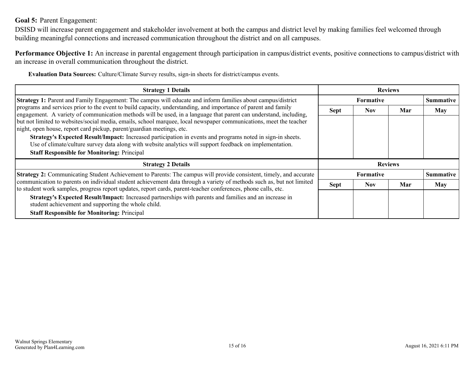### <span id="page-14-0"></span>**Goal 5:** Parent Engagement:

DSISD will increase parent engagement and stakeholder involvement at both the campus and district level by making families feel welcomed through building meaningful connections and increased communication throughout the district and on all campuses.

**Performance Objective 1:** An increase in parental engagement through participation in campus/district events, positive connections to campus/district with an increase in overall communication throughout the district.

**Evaluation Data Sources:** Culture/Climate Survey results, sign-in sheets for district/campus events.

| <b>Strategy 1 Details</b>                                                                                                                                                                                                                                                                                                                                                                                                                                                                                                                         | <b>Reviews</b>   |            |     |                  |
|---------------------------------------------------------------------------------------------------------------------------------------------------------------------------------------------------------------------------------------------------------------------------------------------------------------------------------------------------------------------------------------------------------------------------------------------------------------------------------------------------------------------------------------------------|------------------|------------|-----|------------------|
| Strategy 1: Parent and Family Engagement: The campus will educate and inform families about campus/district<br>programs and services prior to the event to build capacity, understanding, and importance of parent and family<br>engagement. A variety of communication methods will be used, in a language that parent can understand, including,<br>but not limited to websites/social media, emails, school marquee, local newspaper communications, meet the teacher<br>night, open house, report card pickup, parent/guardian meetings, etc. | <b>Formative</b> |            |     | <b>Summative</b> |
|                                                                                                                                                                                                                                                                                                                                                                                                                                                                                                                                                   | <b>Sept</b>      | <b>Nov</b> | Mar | May              |
|                                                                                                                                                                                                                                                                                                                                                                                                                                                                                                                                                   |                  |            |     |                  |
| Strategy's Expected Result/Impact: Increased participation in events and programs noted in sign-in sheets.<br>Use of climate/culture survey data along with website analytics will support feedback on implementation.                                                                                                                                                                                                                                                                                                                            |                  |            |     |                  |
| <b>Staff Responsible for Monitoring: Principal</b>                                                                                                                                                                                                                                                                                                                                                                                                                                                                                                |                  |            |     |                  |
| <b>Strategy 2 Details</b>                                                                                                                                                                                                                                                                                                                                                                                                                                                                                                                         | <b>Reviews</b>   |            |     |                  |
| Strategy 2: Communicating Student Achievement to Parents: The campus will provide consistent, timely, and accurate<br>communication to parents on individual student achievement data through a variety of methods such as, but not limited<br>to student work samples, progress report updates, report cards, parent-teacher conferences, phone calls, etc.                                                                                                                                                                                      | <b>Formative</b> |            |     | <b>Summative</b> |
|                                                                                                                                                                                                                                                                                                                                                                                                                                                                                                                                                   | <b>Sept</b>      | <b>Nov</b> | Mar | May              |
| Strategy's Expected Result/Impact: Increased partnerships with parents and families and an increase in<br>student achievement and supporting the whole child.                                                                                                                                                                                                                                                                                                                                                                                     |                  |            |     |                  |
| <b>Staff Responsible for Monitoring: Principal</b>                                                                                                                                                                                                                                                                                                                                                                                                                                                                                                |                  |            |     |                  |